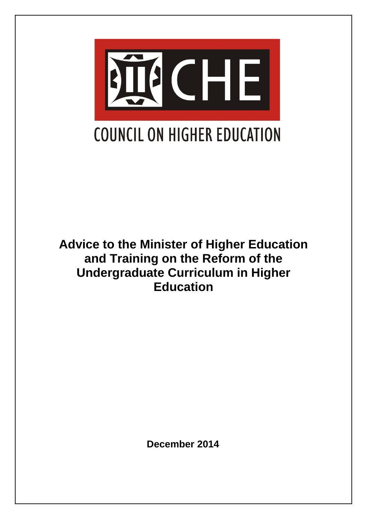

**Advice to the Minister of Higher Education and Training on the Reform of the Undergraduate Curriculum in Higher Education** 

 **December 2014**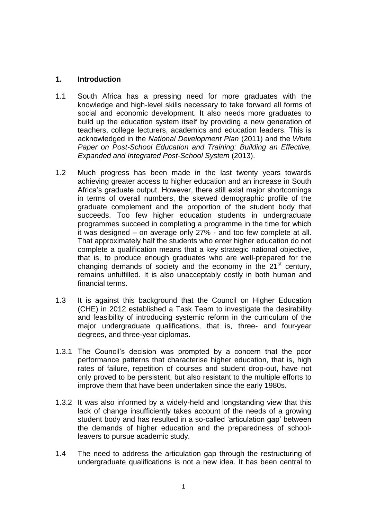#### **1. Introduction**

- 1.1 South Africa has a pressing need for more graduates with the knowledge and high-level skills necessary to take forward all forms of social and economic development. It also needs more graduates to build up the education system itself by providing a new generation of teachers, college lecturers, academics and education leaders. This is acknowledged in the *National Development Plan* (2011) and the *White Paper on Post-School Education and Training: Building an Effective, Expanded and Integrated Post-School System* (2013).
- 1.2 Much progress has been made in the last twenty years towards achieving greater access to higher education and an increase in South Africa's graduate output. However, there still exist major shortcomings in terms of overall numbers, the skewed demographic profile of the graduate complement and the proportion of the student body that succeeds. Too few higher education students in undergraduate programmes succeed in completing a programme in the time for which it was designed – on average only 27% - and too few complete at all. That approximately half the students who enter higher education do not complete a qualification means that a key strategic national objective, that is, to produce enough graduates who are well-prepared for the changing demands of society and the economy in the  $21<sup>st</sup>$  century, remains unfulfilled. It is also unacceptably costly in both human and financial terms.
- 1.3 It is against this background that the Council on Higher Education (CHE) in 2012 established a Task Team to investigate the desirability and feasibility of introducing systemic reform in the curriculum of the major undergraduate qualifications, that is, three- and four-year degrees, and three-year diplomas.
- 1.3.1 The Council's decision was prompted by a concern that the poor performance patterns that characterise higher education, that is, high rates of failure, repetition of courses and student drop-out, have not only proved to be persistent, but also resistant to the multiple efforts to improve them that have been undertaken since the early 1980s.
- 1.3.2 It was also informed by a widely-held and longstanding view that this lack of change insufficiently takes account of the needs of a growing student body and has resulted in a so-called 'articulation gap' between the demands of higher education and the preparedness of schoolleavers to pursue academic study.
- 1.4 The need to address the articulation gap through the restructuring of undergraduate qualifications is not a new idea. It has been central to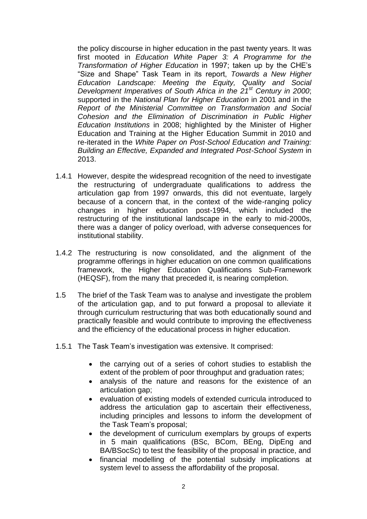the policy discourse in higher education in the past twenty years. It was first mooted in *Education White Paper 3: A Programme for the Transformation of Higher Education* in 1997; taken up by the CHE's "Size and Shape" Task Team in its report, *Towards a New Higher Education Landscape: Meeting the Equity, Quality and Social Development Imperatives of South Africa in the 21st Century in 2000*; supported in the *National Plan for Higher Education* in 2001 and in the *Report of the Ministerial Committee on Transformation and Social Cohesion and the Elimination of Discrimination in Public Higher Education Institutions* in 2008; highlighted by the Minister of Higher Education and Training at the Higher Education Summit in 2010 and re-iterated in the *White Paper on Post-School Education and Training: Building an Effective, Expanded and Integrated Post-School System* in 2013.

- 1.4.1 However, despite the widespread recognition of the need to investigate the restructuring of undergraduate qualifications to address the articulation gap from 1997 onwards, this did not eventuate, largely because of a concern that, in the context of the wide-ranging policy changes in higher education post-1994, which included the restructuring of the institutional landscape in the early to mid-2000s, there was a danger of policy overload, with adverse consequences for institutional stability.
- 1.4.2 The restructuring is now consolidated, and the alignment of the programme offerings in higher education on one common qualifications framework, the Higher Education Qualifications Sub-Framework (HEQSF), from the many that preceded it, is nearing completion.
- 1.5 The brief of the Task Team was to analyse and investigate the problem of the articulation gap, and to put forward a proposal to alleviate it through curriculum restructuring that was both educationally sound and practically feasible and would contribute to improving the effectiveness and the efficiency of the educational process in higher education.
- 1.5.1 The Task Team's investigation was extensive. It comprised:
	- the carrying out of a series of cohort studies to establish the extent of the problem of poor throughput and graduation rates;
	- analysis of the nature and reasons for the existence of an articulation gap;
	- evaluation of existing models of extended curricula introduced to address the articulation gap to ascertain their effectiveness, including principles and lessons to inform the development of the Task Team's proposal;
	- the development of curriculum exemplars by groups of experts in 5 main qualifications (BSc, BCom, BEng, DipEng and BA/BSocSc) to test the feasibility of the proposal in practice, and
	- financial modelling of the potential subsidy implications at system level to assess the affordability of the proposal.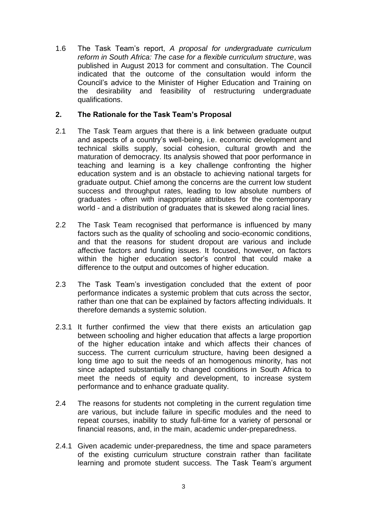1.6 The Task Team's report, *A proposal for undergraduate curriculum reform in South Africa: The case for a flexible curriculum structure*, was published in August 2013 for comment and consultation. The Council indicated that the outcome of the consultation would inform the Council's advice to the Minister of Higher Education and Training on the desirability and feasibility of restructuring undergraduate qualifications.

## **2. The Rationale for the Task Team's Proposal**

- 2.1 The Task Team argues that there is a link between graduate output and aspects of a country's well-being, i.e. economic development and technical skills supply, social cohesion, cultural growth and the maturation of democracy. Its analysis showed that poor performance in teaching and learning is a key challenge confronting the higher education system and is an obstacle to achieving national targets for graduate output. Chief among the concerns are the current low student success and throughput rates, leading to low absolute numbers of graduates - often with inappropriate attributes for the contemporary world - and a distribution of graduates that is skewed along racial lines.
- 2.2 The Task Team recognised that performance is influenced by many factors such as the quality of schooling and socio-economic conditions, and that the reasons for student dropout are various and include affective factors and funding issues. It focused, however, on factors within the higher education sector's control that could make a difference to the output and outcomes of higher education.
- 2.3 The Task Team's investigation concluded that the extent of poor performance indicates a systemic problem that cuts across the sector, rather than one that can be explained by factors affecting individuals. It therefore demands a systemic solution.
- 2.3.1 It further confirmed the view that there exists an articulation gap between schooling and higher education that affects a large proportion of the higher education intake and which affects their chances of success. The current curriculum structure, having been designed a long time ago to suit the needs of an homogenous minority, has not since adapted substantially to changed conditions in South Africa to meet the needs of equity and development, to increase system performance and to enhance graduate quality.
- 2.4 The reasons for students not completing in the current regulation time are various, but include failure in specific modules and the need to repeat courses, inability to study full-time for a variety of personal or financial reasons, and, in the main, academic under-preparedness.
- 2.4.1 Given academic under-preparedness, the time and space parameters of the existing curriculum structure constrain rather than facilitate learning and promote student success. The Task Team's argument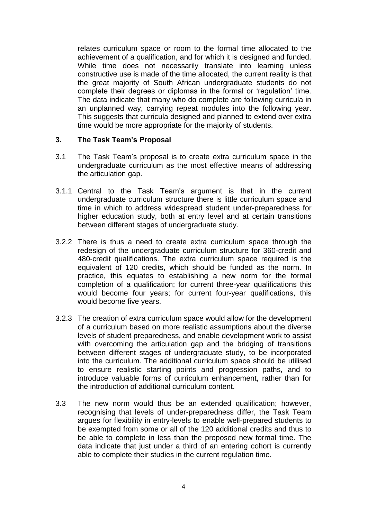relates curriculum space or room to the formal time allocated to the achievement of a qualification, and for which it is designed and funded. While time does not necessarily translate into learning unless constructive use is made of the time allocated, the current reality is that the great majority of South African undergraduate students do not complete their degrees or diplomas in the formal or 'regulation' time. The data indicate that many who do complete are following curricula in an unplanned way, carrying repeat modules into the following year. This suggests that curricula designed and planned to extend over extra time would be more appropriate for the majority of students.

#### **3. The Task Team's Proposal**

- 3.1 The Task Team's proposal is to create extra curriculum space in the undergraduate curriculum as the most effective means of addressing the articulation gap.
- 3.1.1 Central to the Task Team's argument is that in the current undergraduate curriculum structure there is little curriculum space and time in which to address widespread student under-preparedness for higher education study, both at entry level and at certain transitions between different stages of undergraduate study.
- 3.2.2 There is thus a need to create extra curriculum space through the redesign of the undergraduate curriculum structure for 360-credit and 480-credit qualifications. The extra curriculum space required is the equivalent of 120 credits, which should be funded as the norm. In practice, this equates to establishing a new norm for the formal completion of a qualification; for current three-year qualifications this would become four years; for current four-year qualifications, this would become five years.
- 3.2.3 The creation of extra curriculum space would allow for the development of a curriculum based on more realistic assumptions about the diverse levels of student preparedness, and enable development work to assist with overcoming the articulation gap and the bridging of transitions between different stages of undergraduate study, to be incorporated into the curriculum. The additional curriculum space should be utilised to ensure realistic starting points and progression paths, and to introduce valuable forms of curriculum enhancement, rather than for the introduction of additional curriculum content.
- 3.3 The new norm would thus be an extended qualification; however, recognising that levels of under-preparedness differ, the Task Team argues for flexibility in entry-levels to enable well-prepared students to be exempted from some or all of the 120 additional credits and thus to be able to complete in less than the proposed new formal time. The data indicate that just under a third of an entering cohort is currently able to complete their studies in the current regulation time.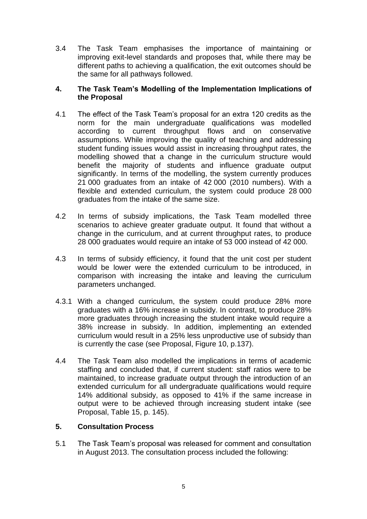3.4 The Task Team emphasises the importance of maintaining or improving exit-level standards and proposes that, while there may be different paths to achieving a qualification, the exit outcomes should be the same for all pathways followed.

### **4. The Task Team's Modelling of the Implementation Implications of the Proposal**

- 4.1 The effect of the Task Team's proposal for an extra 120 credits as the norm for the main undergraduate qualifications was modelled according to current throughput flows and on conservative assumptions. While improving the quality of teaching and addressing student funding issues would assist in increasing throughput rates, the modelling showed that a change in the curriculum structure would benefit the majority of students and influence graduate output significantly. In terms of the modelling, the system currently produces 21 000 graduates from an intake of 42 000 (2010 numbers). With a flexible and extended curriculum, the system could produce 28 000 graduates from the intake of the same size.
- 4.2 In terms of subsidy implications, the Task Team modelled three scenarios to achieve greater graduate output. It found that without a change in the curriculum, and at current throughput rates, to produce 28 000 graduates would require an intake of 53 000 instead of 42 000.
- 4.3 In terms of subsidy efficiency, it found that the unit cost per student would be lower were the extended curriculum to be introduced, in comparison with increasing the intake and leaving the curriculum parameters unchanged.
- 4.3.1 With a changed curriculum, the system could produce 28% more graduates with a 16% increase in subsidy. In contrast, to produce 28% more graduates through increasing the student intake would require a 38% increase in subsidy. In addition, implementing an extended curriculum would result in a 25% less unproductive use of subsidy than is currently the case (see Proposal, Figure 10, p.137).
- 4.4 The Task Team also modelled the implications in terms of academic staffing and concluded that, if current student: staff ratios were to be maintained, to increase graduate output through the introduction of an extended curriculum for all undergraduate qualifications would require 14% additional subsidy, as opposed to 41% if the same increase in output were to be achieved through increasing student intake (see Proposal, Table 15, p. 145).

### **5. Consultation Process**

5.1 The Task Team's proposal was released for comment and consultation in August 2013. The consultation process included the following: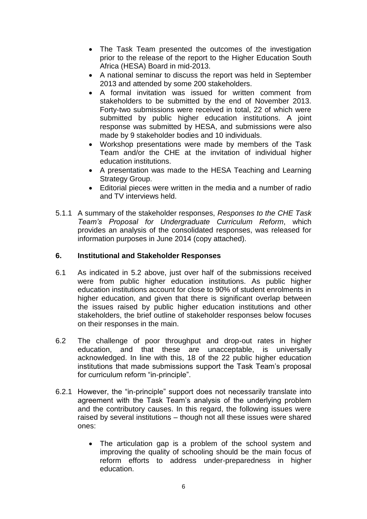- The Task Team presented the outcomes of the investigation prior to the release of the report to the Higher Education South Africa (HESA) Board in mid-2013.
- A national seminar to discuss the report was held in September 2013 and attended by some 200 stakeholders.
- A formal invitation was issued for written comment from stakeholders to be submitted by the end of November 2013. Forty-two submissions were received in total, 22 of which were submitted by public higher education institutions. A joint response was submitted by HESA, and submissions were also made by 9 stakeholder bodies and 10 individuals.
- Workshop presentations were made by members of the Task Team and/or the CHE at the invitation of individual higher education institutions.
- A presentation was made to the HESA Teaching and Learning Strategy Group.
- Editorial pieces were written in the media and a number of radio and TV interviews held.
- 5.1.1 A summary of the stakeholder responses, *Responses to the CHE Task Team's Proposal for Undergraduate Curriculum Reform*, which provides an analysis of the consolidated responses, was released for information purposes in June 2014 (copy attached).

# **6. Institutional and Stakeholder Responses**

- 6.1 As indicated in 5.2 above, just over half of the submissions received were from public higher education institutions. As public higher education institutions account for close to 90% of student enrolments in higher education, and given that there is significant overlap between the issues raised by public higher education institutions and other stakeholders, the brief outline of stakeholder responses below focuses on their responses in the main.
- 6.2 The challenge of poor throughput and drop-out rates in higher education, and that these are unacceptable, is universally acknowledged. In line with this, 18 of the 22 public higher education institutions that made submissions support the Task Team's proposal for curriculum reform "in-principle".
- 6.2.1 However, the "in-principle" support does not necessarily translate into agreement with the Task Team's analysis of the underlying problem and the contributory causes. In this regard, the following issues were raised by several institutions – though not all these issues were shared ones:
	- The articulation gap is a problem of the school system and improving the quality of schooling should be the main focus of reform efforts to address under-preparedness in higher education.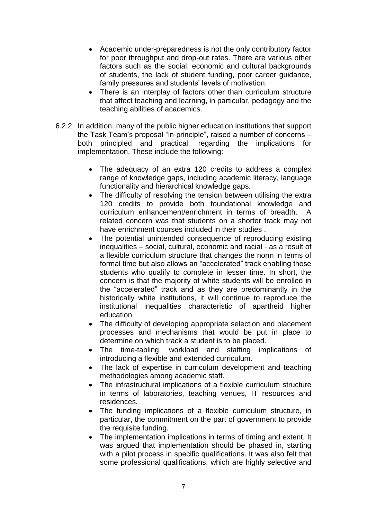- Academic under-preparedness is not the only contributory factor for poor throughput and drop-out rates. There are various other factors such as the social, economic and cultural backgrounds of students, the lack of student funding, poor career guidance, family pressures and students' levels of motivation.
- There is an interplay of factors other than curriculum structure that affect teaching and learning, in particular, pedagogy and the teaching abilities of academics.
- 6.2.2 In addition, many of the public higher education institutions that support the Task Team's proposal "in-principle", raised a number of concerns – both principled and practical, regarding the implications for implementation. These include the following:
	- The adequacy of an extra 120 credits to address a complex range of knowledge gaps, including academic literacy, language functionality and hierarchical knowledge gaps.
	- The difficulty of resolving the tension between utilising the extra 120 credits to provide both foundational knowledge and curriculum enhancement/enrichment in terms of breadth. A related concern was that students on a shorter track may not have enrichment courses included in their studies .
	- The potential unintended consequence of reproducing existing inequalities – social, cultural, economic and racial - as a result of a flexible curriculum structure that changes the norm in terms of formal time but also allows an "accelerated" track enabling those students who qualify to complete in lesser time. In short, the concern is that the majority of white students will be enrolled in the "accelerated" track and as they are predominantly in the historically white institutions, it will continue to reproduce the institutional inequalities characteristic of apartheid higher education.
	- The difficulty of developing appropriate selection and placement processes and mechanisms that would be put in place to determine on which track a student is to be placed.
	- The time-tabling, workload and staffing implications of introducing a flexible and extended curriculum.
	- The lack of expertise in curriculum development and teaching methodologies among academic staff.
	- The infrastructural implications of a flexible curriculum structure in terms of laboratories, teaching venues, IT resources and residences.
	- The funding implications of a flexible curriculum structure, in particular, the commitment on the part of government to provide the requisite funding.
	- The implementation implications in terms of timing and extent. It was argued that implementation should be phased in, starting with a pilot process in specific qualifications. It was also felt that some professional qualifications, which are highly selective and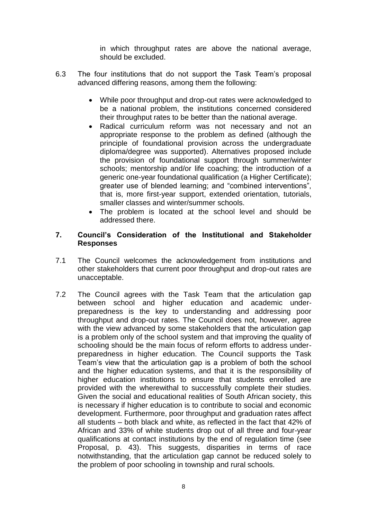in which throughput rates are above the national average, should be excluded.

- 6.3 The four institutions that do not support the Task Team's proposal advanced differing reasons, among them the following:
	- While poor throughput and drop-out rates were acknowledged to be a national problem, the institutions concerned considered their throughput rates to be better than the national average.
	- Radical curriculum reform was not necessary and not an appropriate response to the problem as defined (although the principle of foundational provision across the undergraduate diploma/degree was supported). Alternatives proposed include the provision of foundational support through summer/winter schools; mentorship and/or life coaching; the introduction of a generic one-year foundational qualification (a Higher Certificate); greater use of blended learning; and "combined interventions", that is, more first-year support, extended orientation, tutorials, smaller classes and winter/summer schools.
	- The problem is located at the school level and should be addressed there.

#### **7. Council's Consideration of the Institutional and Stakeholder Responses**

- 7.1 The Council welcomes the acknowledgement from institutions and other stakeholders that current poor throughput and drop-out rates are unacceptable.
- 7.2 The Council agrees with the Task Team that the articulation gap between school and higher education and academic underpreparedness is the key to understanding and addressing poor throughput and drop-out rates. The Council does not, however, agree with the view advanced by some stakeholders that the articulation gap is a problem only of the school system and that improving the quality of schooling should be the main focus of reform efforts to address underpreparedness in higher education. The Council supports the Task Team's view that the articulation gap is a problem of both the school and the higher education systems, and that it is the responsibility of higher education institutions to ensure that students enrolled are provided with the wherewithal to successfully complete their studies. Given the social and educational realities of South African society, this is necessary if higher education is to contribute to social and economic development. Furthermore, poor throughput and graduation rates affect all students – both black and white, as reflected in the fact that 42% of African and 33% of white students drop out of all three and four-year qualifications at contact institutions by the end of regulation time (see Proposal, p. 43). This suggests, disparities in terms of race notwithstanding, that the articulation gap cannot be reduced solely to the problem of poor schooling in township and rural schools.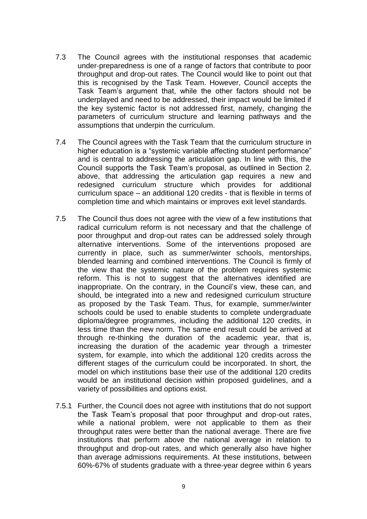- 7.3 The Council agrees with the institutional responses that academic under-preparedness is one of a range of factors that contribute to poor throughput and drop-out rates. The Council would like to point out that this is recognised by the Task Team. However, Council accepts the Task Team's argument that, while the other factors should not be underplayed and need to be addressed, their impact would be limited if the key systemic factor is not addressed first, namely, changing the parameters of curriculum structure and learning pathways and the assumptions that underpin the curriculum.
- 7.4 The Council agrees with the Task Team that the curriculum structure in higher education is a "systemic variable affecting student performance" and is central to addressing the articulation gap. In line with this, the Council supports the Task Team's proposal, as outlined in Section 2. above, that addressing the articulation gap requires a new and redesigned curriculum structure which provides for additional curriculum space – an additional 120 credits - that is flexible in terms of completion time and which maintains or improves exit level standards.
- 7.5 The Council thus does not agree with the view of a few institutions that radical curriculum reform is not necessary and that the challenge of poor throughput and drop-out rates can be addressed solely through alternative interventions. Some of the interventions proposed are currently in place, such as summer/winter schools, mentorships, blended learning and combined interventions. The Council is firmly of the view that the systemic nature of the problem requires systemic reform. This is not to suggest that the alternatives identified are inappropriate. On the contrary, in the Council's view, these can, and should, be integrated into a new and redesigned curriculum structure as proposed by the Task Team. Thus, for example, summer/winter schools could be used to enable students to complete undergraduate diploma/degree programmes, including the additional 120 credits, in less time than the new norm. The same end result could be arrived at through re-thinking the duration of the academic year, that is, increasing the duration of the academic year through a trimester system, for example, into which the additional 120 credits across the different stages of the curriculum could be incorporated. In short, the model on which institutions base their use of the additional 120 credits would be an institutional decision within proposed guidelines, and a variety of possibilities and options exist.
- 7.5.1 Further, the Council does not agree with institutions that do not support the Task Team's proposal that poor throughput and drop-out rates, while a national problem, were not applicable to them as their throughput rates were better than the national average. There are five institutions that perform above the national average in relation to throughput and drop-out rates, and which generally also have higher than average admissions requirements. At these institutions, between 60%-67% of students graduate with a three-year degree within 6 years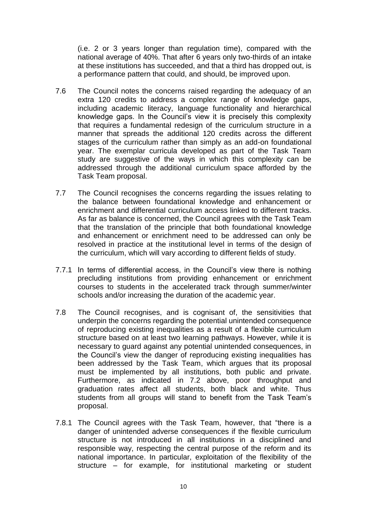(i.e. 2 or 3 years longer than regulation time), compared with the national average of 40%. That after 6 years only two-thirds of an intake at these institutions has succeeded, and that a third has dropped out, is a performance pattern that could, and should, be improved upon.

- 7.6 The Council notes the concerns raised regarding the adequacy of an extra 120 credits to address a complex range of knowledge gaps, including academic literacy, language functionality and hierarchical knowledge gaps. In the Council's view it is precisely this complexity that requires a fundamental redesign of the curriculum structure in a manner that spreads the additional 120 credits across the different stages of the curriculum rather than simply as an add-on foundational year. The exemplar curricula developed as part of the Task Team study are suggestive of the ways in which this complexity can be addressed through the additional curriculum space afforded by the Task Team proposal.
- 7.7 The Council recognises the concerns regarding the issues relating to the balance between foundational knowledge and enhancement or enrichment and differential curriculum access linked to different tracks. As far as balance is concerned, the Council agrees with the Task Team that the translation of the principle that both foundational knowledge and enhancement or enrichment need to be addressed can only be resolved in practice at the institutional level in terms of the design of the curriculum, which will vary according to different fields of study.
- 7.7.1 In terms of differential access, in the Council's view there is nothing precluding institutions from providing enhancement or enrichment courses to students in the accelerated track through summer/winter schools and/or increasing the duration of the academic year.
- 7.8 The Council recognises, and is cognisant of, the sensitivities that underpin the concerns regarding the potential unintended consequence of reproducing existing inequalities as a result of a flexible curriculum structure based on at least two learning pathways. However, while it is necessary to guard against any potential unintended consequences, in the Council's view the danger of reproducing existing inequalities has been addressed by the Task Team, which argues that its proposal must be implemented by all institutions, both public and private. Furthermore, as indicated in 7.2 above, poor throughput and graduation rates affect all students, both black and white. Thus students from all groups will stand to benefit from the Task Team's proposal.
- 7.8.1 The Council agrees with the Task Team, however, that "there is a danger of unintended adverse consequences if the flexible curriculum structure is not introduced in all institutions in a disciplined and responsible way, respecting the central purpose of the reform and its national importance. In particular, exploitation of the flexibility of the structure – for example, for institutional marketing or student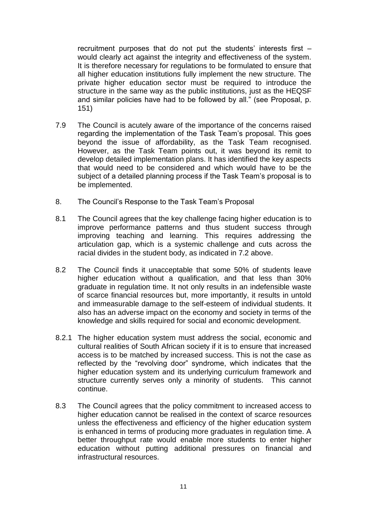recruitment purposes that do not put the students' interests first – would clearly act against the integrity and effectiveness of the system. It is therefore necessary for regulations to be formulated to ensure that all higher education institutions fully implement the new structure. The private higher education sector must be required to introduce the structure in the same way as the public institutions, just as the HEQSF and similar policies have had to be followed by all." (see Proposal, p. 151)

- 7.9 The Council is acutely aware of the importance of the concerns raised regarding the implementation of the Task Team's proposal. This goes beyond the issue of affordability, as the Task Team recognised. However, as the Task Team points out, it was beyond its remit to develop detailed implementation plans. It has identified the key aspects that would need to be considered and which would have to be the subject of a detailed planning process if the Task Team's proposal is to be implemented.
- 8. The Council's Response to the Task Team's Proposal
- 8.1 The Council agrees that the key challenge facing higher education is to improve performance patterns and thus student success through improving teaching and learning. This requires addressing the articulation gap, which is a systemic challenge and cuts across the racial divides in the student body, as indicated in 7.2 above.
- 8.2 The Council finds it unacceptable that some 50% of students leave higher education without a qualification, and that less than 30% graduate in regulation time. It not only results in an indefensible waste of scarce financial resources but, more importantly, it results in untold and immeasurable damage to the self-esteem of individual students. It also has an adverse impact on the economy and society in terms of the knowledge and skills required for social and economic development.
- 8.2.1 The higher education system must address the social, economic and cultural realities of South African society if it is to ensure that increased access is to be matched by increased success. This is not the case as reflected by the "revolving door" syndrome, which indicates that the higher education system and its underlying curriculum framework and structure currently serves only a minority of students. This cannot continue.
- 8.3 The Council agrees that the policy commitment to increased access to higher education cannot be realised in the context of scarce resources unless the effectiveness and efficiency of the higher education system is enhanced in terms of producing more graduates in regulation time. A better throughput rate would enable more students to enter higher education without putting additional pressures on financial and infrastructural resources.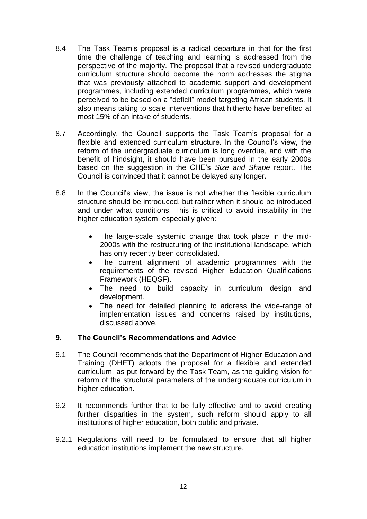- 8.4 The Task Team's proposal is a radical departure in that for the first time the challenge of teaching and learning is addressed from the perspective of the majority. The proposal that a revised undergraduate curriculum structure should become the norm addresses the stigma that was previously attached to academic support and development programmes, including extended curriculum programmes, which were perceived to be based on a "deficit" model targeting African students. It also means taking to scale interventions that hitherto have benefited at most 15% of an intake of students.
- 8.7 Accordingly, the Council supports the Task Team's proposal for a flexible and extended curriculum structure. In the Council's view, the reform of the undergraduate curriculum is long overdue, and with the benefit of hindsight, it should have been pursued in the early 2000s based on the suggestion in the CHE's *Size and Shape* report. The Council is convinced that it cannot be delayed any longer.
- 8.8 In the Council's view, the issue is not whether the flexible curriculum structure should be introduced, but rather when it should be introduced and under what conditions. This is critical to avoid instability in the higher education system, especially given:
	- The large-scale systemic change that took place in the mid-2000s with the restructuring of the institutional landscape, which has only recently been consolidated.
	- The current alignment of academic programmes with the requirements of the revised Higher Education Qualifications Framework (HEQSF).
	- The need to build capacity in curriculum design and development.
	- The need for detailed planning to address the wide-range of implementation issues and concerns raised by institutions, discussed above.

# **9. The Council's Recommendations and Advice**

- 9.1 The Council recommends that the Department of Higher Education and Training (DHET) adopts the proposal for a flexible and extended curriculum, as put forward by the Task Team, as the guiding vision for reform of the structural parameters of the undergraduate curriculum in higher education.
- 9.2 It recommends further that to be fully effective and to avoid creating further disparities in the system, such reform should apply to all institutions of higher education, both public and private.
- 9.2.1 Regulations will need to be formulated to ensure that all higher education institutions implement the new structure.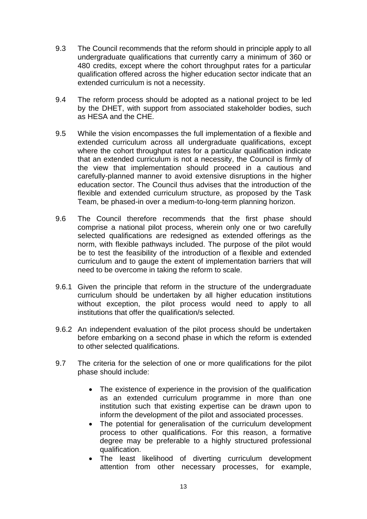- 9.3 The Council recommends that the reform should in principle apply to all undergraduate qualifications that currently carry a minimum of 360 or 480 credits, except where the cohort throughput rates for a particular qualification offered across the higher education sector indicate that an extended curriculum is not a necessity.
- 9.4 The reform process should be adopted as a national project to be led by the DHET, with support from associated stakeholder bodies, such as HESA and the CHE.
- 9.5 While the vision encompasses the full implementation of a flexible and extended curriculum across all undergraduate qualifications, except where the cohort throughput rates for a particular qualification indicate that an extended curriculum is not a necessity, the Council is firmly of the view that implementation should proceed in a cautious and carefully-planned manner to avoid extensive disruptions in the higher education sector. The Council thus advises that the introduction of the flexible and extended curriculum structure, as proposed by the Task Team, be phased-in over a medium-to-long-term planning horizon.
- 9.6 The Council therefore recommends that the first phase should comprise a national pilot process, wherein only one or two carefully selected qualifications are redesigned as extended offerings as the norm, with flexible pathways included. The purpose of the pilot would be to test the feasibility of the introduction of a flexible and extended curriculum and to gauge the extent of implementation barriers that will need to be overcome in taking the reform to scale.
- 9.6.1 Given the principle that reform in the structure of the undergraduate curriculum should be undertaken by all higher education institutions without exception, the pilot process would need to apply to all institutions that offer the qualification/s selected.
- 9.6.2 An independent evaluation of the pilot process should be undertaken before embarking on a second phase in which the reform is extended to other selected qualifications.
- 9.7 The criteria for the selection of one or more qualifications for the pilot phase should include:
	- The existence of experience in the provision of the qualification as an extended curriculum programme in more than one institution such that existing expertise can be drawn upon to inform the development of the pilot and associated processes.
	- The potential for generalisation of the curriculum development process to other qualifications. For this reason, a formative degree may be preferable to a highly structured professional qualification.
	- The least likelihood of diverting curriculum development attention from other necessary processes, for example,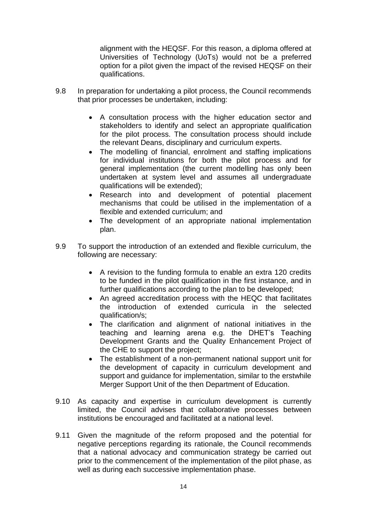alignment with the HEQSF. For this reason, a diploma offered at Universities of Technology (UoTs) would not be a preferred option for a pilot given the impact of the revised HEQSF on their qualifications.

- 9.8 In preparation for undertaking a pilot process, the Council recommends that prior processes be undertaken, including:
	- A consultation process with the higher education sector and stakeholders to identify and select an appropriate qualification for the pilot process. The consultation process should include the relevant Deans, disciplinary and curriculum experts.
	- The modelling of financial, enrolment and staffing implications for individual institutions for both the pilot process and for general implementation (the current modelling has only been undertaken at system level and assumes all undergraduate qualifications will be extended);
	- Research into and development of potential placement mechanisms that could be utilised in the implementation of a flexible and extended curriculum; and
	- The development of an appropriate national implementation plan.
- 9.9 To support the introduction of an extended and flexible curriculum, the following are necessary:
	- A revision to the funding formula to enable an extra 120 credits to be funded in the pilot qualification in the first instance, and in further qualifications according to the plan to be developed;
	- An agreed accreditation process with the HEQC that facilitates the introduction of extended curricula in the selected qualification/s;
	- The clarification and alignment of national initiatives in the teaching and learning arena e.g. the DHET's Teaching Development Grants and the Quality Enhancement Project of the CHE to support the project;
	- The establishment of a non-permanent national support unit for the development of capacity in curriculum development and support and guidance for implementation, similar to the erstwhile Merger Support Unit of the then Department of Education.
- 9.10 As capacity and expertise in curriculum development is currently limited, the Council advises that collaborative processes between institutions be encouraged and facilitated at a national level.
- 9.11 Given the magnitude of the reform proposed and the potential for negative perceptions regarding its rationale, the Council recommends that a national advocacy and communication strategy be carried out prior to the commencement of the implementation of the pilot phase, as well as during each successive implementation phase.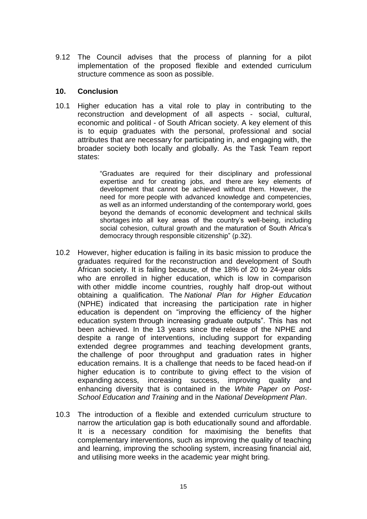9.12 The Council advises that the process of planning for a pilot implementation of the proposed flexible and extended curriculum structure commence as soon as possible.

### **10. Conclusion**

10.1 Higher education has a vital role to play in contributing to the reconstruction and development of all aspects - social, cultural, economic and political - of South African society. A key element of this is to equip graduates with the personal, professional and social attributes that are necessary for participating in, and engaging with, the broader society both locally and globally. As the Task Team report states:

> "Graduates are required for their disciplinary and professional expertise and for creating jobs, and there are key elements of development that cannot be achieved without them. However, the need for more people with advanced knowledge and competencies, as well as an informed understanding of the contemporary world, goes beyond the demands of economic development and technical skills shortages into all key areas of the country's well-being, including social cohesion, cultural growth and the maturation of South Africa's democracy through responsible citizenship" (p.32).

- 10.2 However, higher education is failing in its basic mission to produce the graduates required for the reconstruction and development of South African society. It is failing because, of the 18% of 20 to 24-year olds who are enrolled in higher education, which is low in comparison with other middle income countries, roughly half drop-out without obtaining a qualification. The *National Plan for Higher Education* (NPHE) indicated that increasing the participation rate in higher education is dependent on "improving the efficiency of the higher education system through increasing graduate outputs". This has not been achieved. In the 13 years since the release of the NPHE and despite a range of interventions, including support for expanding extended degree programmes and teaching development grants, the challenge of poor throughput and graduation rates in higher education remains. It is a challenge that needs to be faced head-on if higher education is to contribute to giving effect to the vision of expanding access, increasing success, improving quality and enhancing diversity that is contained in the *White Paper on Post-School Education and Training* and in the *National Development Plan*.
- 10.3 The introduction of a flexible and extended curriculum structure to narrow the articulation gap is both educationally sound and affordable. It is a necessary condition for maximising the benefits that complementary interventions, such as improving the quality of teaching and learning, improving the schooling system, increasing financial aid, and utilising more weeks in the academic year might bring.